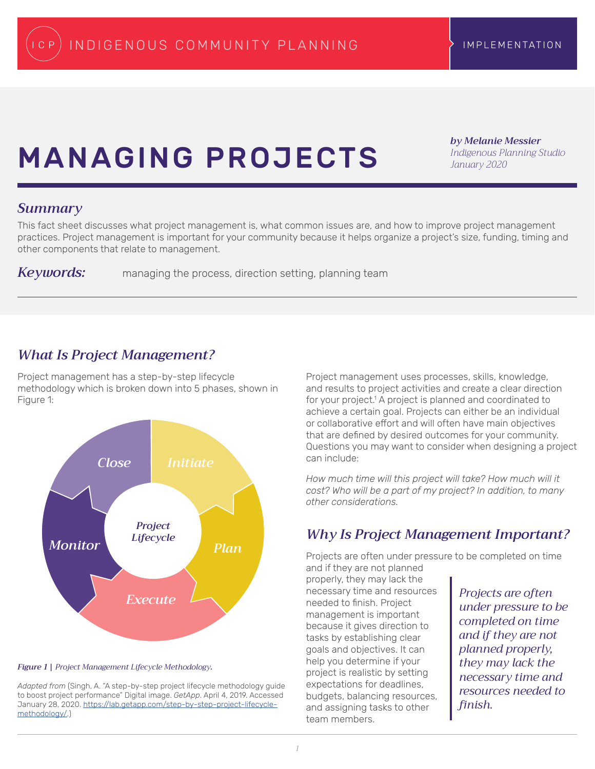# **MANAGING PROJECTS**

*by Melanie Messier Indigenous Planning Studio January 2020*

### *Summary*

This fact sheet discusses what project management is, what common issues are, and how to improve project management practices. Project management is important for your community because it helps organize a project's size, funding, timing and other components that relate to management.

*Keywords:* managing the process, direction setting, planning team

### *What Is Project Management?*

Project management has a step-by-step lifecycle methodology which is broken down into 5 phases, shown in Figure 1:



*Figure 1 | Project Management Lifecycle Methodology.*

*Adapted from* (Singh, A. "A step-by-step project lifecycle methodology guide to boost project performance" Digital image. *GetApp*. April 4, 2019. Accessed January 28, 2020. [https://lab.getapp.com/step-by-step-project-lifecycle](https://lab.getapp.com/step-by-step-project-lifecycle-methodology/)[methodology/.](https://lab.getapp.com/step-by-step-project-lifecycle-methodology/))

Project management uses processes, skills, knowledge, and results to project activities and create a clear direction for your project.<sup>1</sup> A project is planned and coordinated to achieve a certain goal. Projects can either be an individual or collaborative effort and will often have main objectives that are defined by desired outcomes for your community. Questions you may want to consider when designing a project can include:

*How much time will this project will take? How much will it cost? Who will be a part of my project? In addition, to many other considerations.* 

## *Why Is Project Management Important?*

Projects are often under pressure to be completed on time and if they are not planned

properly, they may lack the necessary time and resources needed to finish. Project management is important because it gives direction to tasks by establishing clear goals and objectives. It can help you determine if your project is realistic by setting expectations for deadlines, budgets, balancing resources, and assigning tasks to other team members.

*Projects are often under pressure to be completed on time and if they are not planned properly, they may lack the necessary time and resources needed to finish.*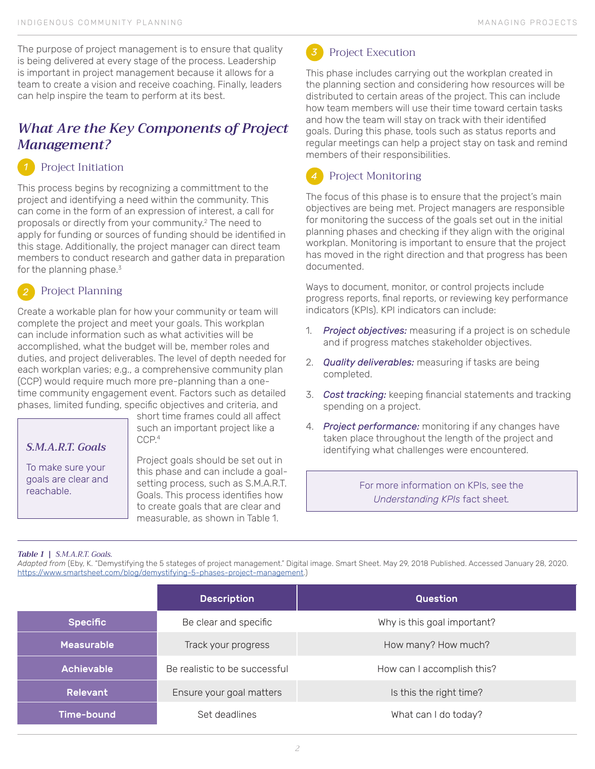The purpose of project management is to ensure that quality is being delivered at every stage of the process. Leadership is important in project management because it allows for a team to create a vision and receive coaching. Finally, leaders can help inspire the team to perform at its best.

### *What Are the Key Components of Project Management?*

#### Project Initiation *1*

This process begins by recognizing a committment to the project and identifying a need within the community. This can come in the form of an expression of interest, a call for proposals or directly from your community.2 The need to apply for funding or sources of funding should be identified in this stage. Additionally, the project manager can direct team members to conduct research and gather data in preparation for the planning phase. $3$ 

### Project Planning

Create a workable plan for how your community or team will complete the project and meet your goals. This workplan can include information such as what activities will be accomplished, what the budget will be, member roles and duties, and project deliverables. The level of depth needed for each workplan varies; e.g., a comprehensive community plan (CCP) would require much more pre-planning than a onetime community engagement event. Factors such as detailed phases, limited funding, specific objectives and criteria, and

### *S.M.A.R.T. Goals*

To make sure your goals are clear and short time frames could all affect such an important project like a CCP.4

Project goals should be set out in this phase and can include a goalsetting process, such as S.M.A.R.T. Goals. This process identifies how to create goals that are clear and measurable, as shown in Table 1.

## Project Execution

This phase includes carrying out the workplan created in the planning section and considering how resources will be distributed to certain areas of the project. This can include how team members will use their time toward certain tasks and how the team will stay on track with their identified goals. During this phase, tools such as status reports and regular meetings can help a project stay on task and remind members of their responsibilities.

### Project Monitoring

The focus of this phase is to ensure that the project's main objectives are being met. Project managers are responsible for monitoring the success of the goals set out in the initial planning phases and checking if they align with the original workplan. Monitoring is important to ensure that the project has moved in the right direction and that progress has been documented.

Ways to document, monitor, or control projects include progress reports, final reports, or reviewing key performance indicators (KPIs). KPI indicators can include:

- 1. *Project objectives:* measuring if a project is on schedule and if progress matches stakeholder objectives.
- 2. *Quality deliverables:* measuring if tasks are being completed.
- 3. *Cost tracking:* keeping financial statements and tracking spending on a project.
- 4. *Project performance:* monitoring if any changes have taken place throughout the length of the project and identifying what challenges were encountered.

yoals are clear and esetting process, such as S.M.A.R.T. For more information on KPIs, see the reachable. *Understanding KPIs* fact sheet*.*

### *Table 1 | S.M.A.R.T. Goals.*

*Adapted from* (Eby, K. "Demystifying the 5 stateges of project management." Digital image. Smart Sheet. May 29, 2018 Published. Accessed January 28, 2020. <https://www.smartsheet.com/blog/demystifying-5-phases-project-management>.)

|                   | <b>Description</b>            | Question                    |
|-------------------|-------------------------------|-----------------------------|
| <b>Specific</b>   | Be clear and specific         | Why is this goal important? |
| <b>Measurable</b> | Track your progress           | How many? How much?         |
| <b>Achievable</b> | Be realistic to be successful | How can I accomplish this?  |
| <b>Relevant</b>   | Ensure your goal matters      | Is this the right time?     |
| Time-bound        | Set deadlines                 | What can I do today?        |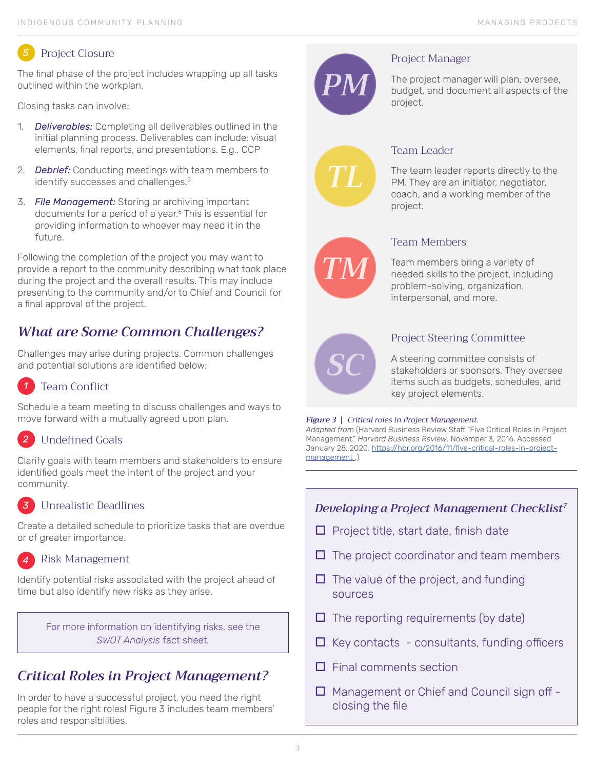#### Project Closure *5*

The final phase of the project includes wrapping up all tasks outlined within the workplan.

Closing tasks can involve:

- 1. *Deliverables:* Completing all deliverables outlined in the initial planning process. Deliverables can include: visual elements, final reports, and presentations. E.g., CCP
- 2. *Debrief:* Conducting meetings with team members to identify successes and challenges.<sup>5</sup>
- 3. *File Management:* Storing or archiving important documents for a period of a year.6 This is essential for providing information to whoever may need it in the future.

Following the completion of the project you may want to provide a report to the community describing what took place during the project and the overall results. This may include presenting to the community and/or to Chief and Council for a final approval of the project.

## *What are Some Common Challenges?*

Challenges may arise during projects. Common challenges and potential solutions are identified below:

#### Team Conflict *1*

Schedule a team meeting to discuss challenges and ways to move forward with a mutually agreed upon plan.

#### Undefined Goals *2*

Clarify goals with team members and stakeholders to ensure identified goals meet the intent of the project and your community.

#### Unrealistic Deadlines *3*

Create a detailed schedule to prioritize tasks that are overdue or of greater importance.

#### Risk Management *4*

Identify potential risks associated with the project ahead of time but also identify new risks as they arise.

> For more information on identifying risks, see the *SWOT Analysis* fact sheet*.*

# *Critical Roles in Project Management?*

In order to have a successful project, you need the right people for the right roles! Figure 3 includes team members' roles and responsibilities.



### Project Manager

The project manager will plan, oversee, budget, and document all aspects of the project.



### Team Leader

The team leader reports directly to the PM. They are an initiator, negotiator, coach, and a working member of the project.



### Team Members

Team members bring a variety of needed skills to the project, including problem-solving, organization, interpersonal, and more.



### Project Steering Committee

A steering committee consists of stakeholders or sponsors. They oversee items such as budgets, schedules, and key project elements.

### *Figure 3 | Critical roles in Project Management.*

*Adapted from* (Harvard Business Review Staff "Five Critical Roles in Project Management." *Harvard Business Review*. November 3, 2016. Accessed January 28, 2020. [https://hbr.org/2016/11/five-critical-roles-in-project](https://hbr.org/2016/11/five-critical-roles-in-project-management )management.)

### *Developing a Project Management Checklist7*

- $\Box$  Project title, start date, finish date
- $\Box$  The project coordinator and team members
- $\Box$  The value of the project, and funding sources
- $\Box$  The reporting requirements (by date)
- $\Box$  Key contacts consultants, funding officers
- $\Box$  Final comments section
- $\Box$  Management or Chief and Council sign off closing the file